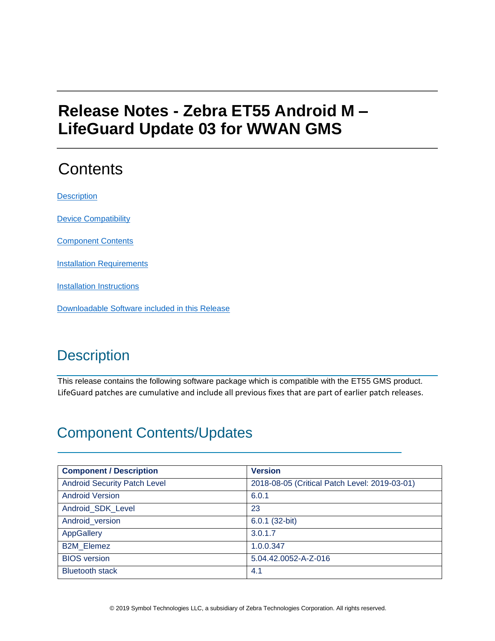# **Release Notes - Zebra ET55 Android M – LifeGuard Update 03 for WWAN GMS**

# **Contents**

**[Description](#page-0-0)** 

[Device Compatibility](#page-2-0)

[Component Contents](#page-0-1)

**[Installation Requirements](#page-2-1)** 

[Installation Instructions](#page-3-0)

[Downloadable Software included in this Release](#page-4-0)

# <span id="page-0-0"></span>**Description**

This release contains the following software package which is compatible with the ET55 GMS product. LifeGuard patches are cumulative and include all previous fixes that are part of earlier patch releases.

## <span id="page-0-1"></span>Component Contents/Updates

| <b>Component / Description</b>      | <b>Version</b>                                |
|-------------------------------------|-----------------------------------------------|
| <b>Android Security Patch Level</b> | 2018-08-05 (Critical Patch Level: 2019-03-01) |
| <b>Android Version</b>              | 6.0.1                                         |
| Android_SDK_Level                   | 23                                            |
| Android version                     | 6.0.1 (32-bit)                                |
| <b>AppGallery</b>                   | 3.0.1.7                                       |
| <b>B2M Elemez</b>                   | 1.0.0.347                                     |
| <b>BIOS</b> version                 | 5.04.42.0052-A-Z-016                          |
| <b>Bluetooth stack</b>              | 4.1                                           |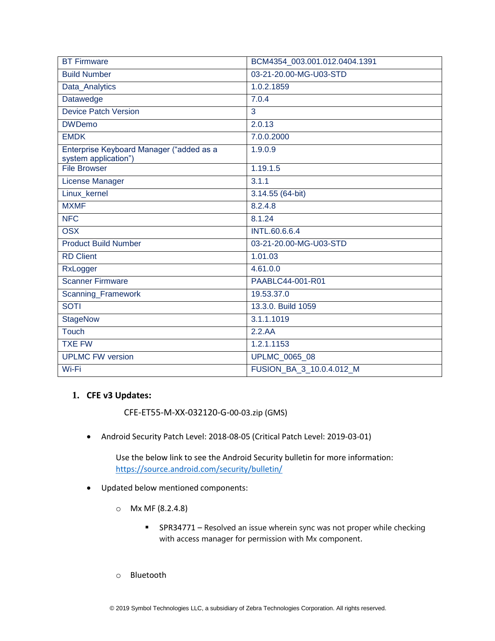| <b>BT Firmware</b>                                               | BCM4354 003.001.012.0404.1391 |
|------------------------------------------------------------------|-------------------------------|
| <b>Build Number</b>                                              | 03-21-20.00-MG-U03-STD        |
| Data_Analytics                                                   | 1.0.2.1859                    |
| Datawedge                                                        | 7.0.4                         |
| Device Patch Version                                             | 3                             |
| <b>DWDemo</b>                                                    | 2.0.13                        |
| <b>EMDK</b>                                                      | 7.0.0.2000                    |
| Enterprise Keyboard Manager ("added as a<br>system application") | 1.9.0.9                       |
| <b>File Browser</b>                                              | 1.19.1.5                      |
| License Manager                                                  | 3.1.1                         |
| Linux_kernel                                                     | 3.14.55 (64-bit)              |
| <b>MXMF</b>                                                      | 8.2.4.8                       |
| <b>NFC</b>                                                       | 8.1.24                        |
| <b>OSX</b>                                                       | <b>INTL.60.6.6.4</b>          |
| <b>Product Build Number</b>                                      | 03-21-20.00-MG-U03-STD        |
| <b>RD Client</b>                                                 | 1.01.03                       |
| RxLogger                                                         | 4.61.0.0                      |
| <b>Scanner Firmware</b>                                          | PAABLC44-001-R01              |
| Scanning_Framework                                               | 19.53.37.0                    |
| <b>SOTI</b>                                                      | 13.3.0. Build 1059            |
| <b>StageNow</b>                                                  | 3.1.1.1019                    |
| <b>Touch</b>                                                     | 2.2.AA                        |
| <b>TXE FW</b>                                                    | 1.2.1.1153                    |
| <b>UPLMC FW version</b>                                          | <b>UPLMC 0065 08</b>          |
| Wi-Fi                                                            | FUSION BA 3 10.0.4.012 M      |

#### **1. CFE v3 Updates:**

CFE-ET55-M-XX-032120-G-00-03.zip (GMS)

• Android Security Patch Level: 2018-08-05 (Critical Patch Level: 2019-03-01)

Use the below link to see the Android Security bulletin for more information: <https://source.android.com/security/bulletin/>

- Updated below mentioned components:
	- o Mx MF (8.2.4.8)
		- SPR34771 Resolved an issue wherein sync was not proper while checking with access manager for permission with Mx component.
	- o Bluetooth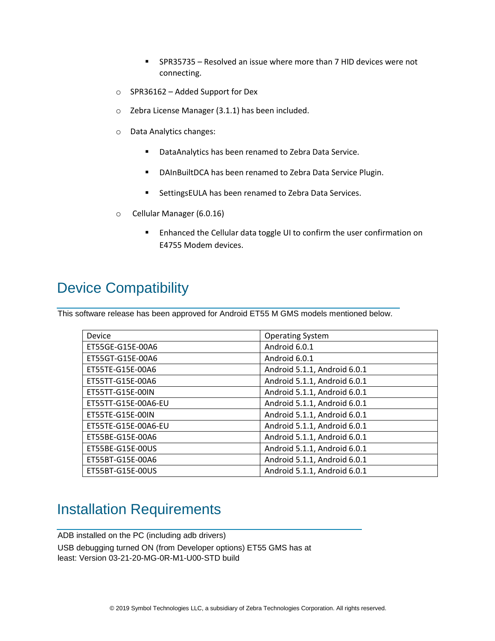- SPR35735 Resolved an issue where more than 7 HID devices were not connecting.
- o SPR36162 Added Support for Dex
- o Zebra License Manager (3.1.1) has been included.
- o Data Analytics changes:
	- DataAnalytics has been renamed to Zebra Data Service.
	- DAInBuiltDCA has been renamed to Zebra Data Service Plugin.
	- SettingsEULA has been renamed to Zebra Data Services.
- o Cellular Manager (6.0.16)
	- Enhanced the Cellular data toggle UI to confirm the user confirmation on E4755 Modem devices.

## <span id="page-2-0"></span>Device Compatibility

This software release has been approved for Android ET55 M GMS models mentioned below.

| Device              | <b>Operating System</b>      |
|---------------------|------------------------------|
| ET55GE-G15E-00A6    | Android 6.0.1                |
| ET55GT-G15E-00A6    | Android 6.0.1                |
| ET55TE-G15E-00A6    | Android 5.1.1, Android 6.0.1 |
| ET55TT-G15E-00A6    | Android 5.1.1, Android 6.0.1 |
| ET55TT-G15E-00IN    | Android 5.1.1, Android 6.0.1 |
| ET55TT-G15E-00A6-EU | Android 5.1.1, Android 6.0.1 |
| ET55TE-G15E-00IN    | Android 5.1.1, Android 6.0.1 |
| ET55TE-G15E-00A6-EU | Android 5.1.1, Android 6.0.1 |
| ET55BE-G15E-00A6    | Android 5.1.1, Android 6.0.1 |
| ET55BE-G15E-00US    | Android 5.1.1, Android 6.0.1 |
| ET55BT-G15E-00A6    | Android 5.1.1, Android 6.0.1 |
| ET55BT-G15E-00US    | Android 5.1.1, Android 6.0.1 |

### <span id="page-2-1"></span>Installation Requirements

ADB installed on the PC (including adb drivers) USB debugging turned ON (from Developer options) ET55 GMS has at least: Version 03-21-20-MG-0R-M1-U00-STD build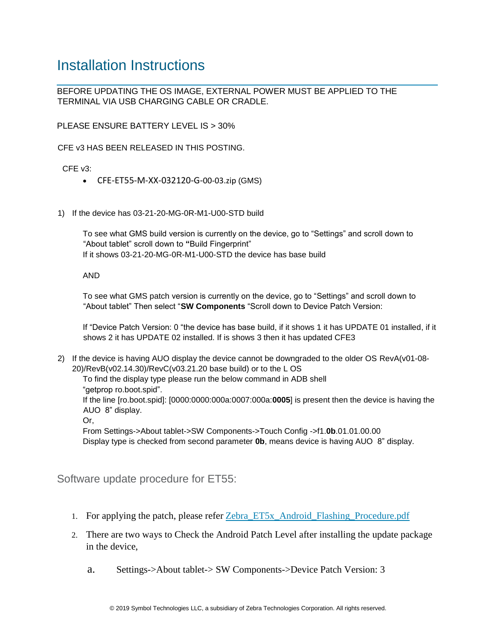### <span id="page-3-0"></span>Installation Instructions

BEFORE UPDATING THE OS IMAGE, EXTERNAL POWER MUST BE APPLIED TO THE TERMINAL VIA USB CHARGING CABLE OR CRADLE.

PLEASE ENSURE BATTERY LEVEL IS > 30%

CFE v3 HAS BEEN RELEASED IN THIS POSTING.

CFE v3:

- CFE-ET55-M-XX-032120-G-00-03.zip (GMS)
- 1) If the device has 03-21-20-MG-0R-M1-U00-STD build

To see what GMS build version is currently on the device, go to "Settings" and scroll down to "About tablet" scroll down to **"**Build Fingerprint" If it shows 03-21-20-MG-0R-M1-U00-STD the device has base build

AND

To see what GMS patch version is currently on the device, go to "Settings" and scroll down to "About tablet" Then select "**SW Components** "Scroll down to Device Patch Version:

If "Device Patch Version: 0 "the device has base build, if it shows 1 it has UPDATE 01 installed, if it shows 2 it has UPDATE 02 installed. If is shows 3 then it has updated CFE3

2) If the device is having AUO display the device cannot be downgraded to the older OS RevA(v01-08- 20)/RevB(v02.14.30)/RevC(v03.21.20 base build) or to the L OS

To find the display type please run the below command in ADB shell "getprop ro.boot.spid".

If the line [ro.boot.spid]: [0000:0000:000a:0007:000a:**0005**] is present then the device is having the AUO 8" display.

Or,

From Settings->About tablet->SW Components->Touch Config ->f1.**0b**.01.01.00.00 Display type is checked from second parameter **0b**, means device is having AUO 8" display.

Software update procedure for ET55:

- 1. For applying the patch, please refe[r](https://www.zebra.com/content/dam/zebra_new_ia/en-us/software/operating-system/ET5X%20Operating%20System/Zebra-ET5x-Android-Flashing-Procedure.pdf) [Zebra\\_ET5x\\_Android\\_Flashing\\_Procedure.pdf](https://www.zebra.com/content/dam/zebra_new_ia/en-us/software/operating-system/ET5X%20Operating%20System/Zebra-ET5x-Android-Flashing-Procedure.pdf)
- 2. There are two ways to Check the Android Patch Level after installing the update package in the device,
	- a. Settings->About tablet-> SW Components->Device Patch Version: 3